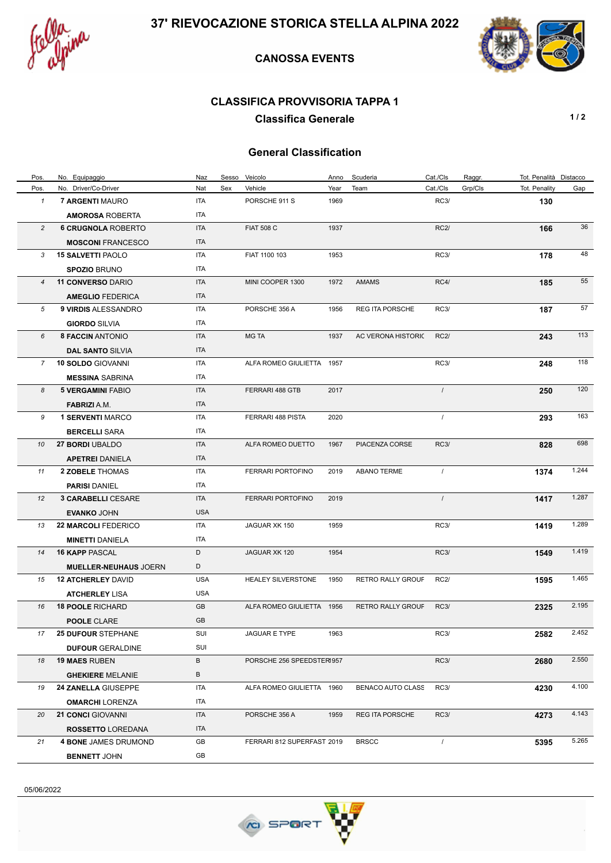



## **CANOSSA EVENTS**

### **CLASSIFICA PROVVISORIA TAPPA 1**

**Classifica Generale 1/2** 

## **General Classification**

| Pos.           | No. Equipaggio               | Naz        | Sesso | Veicolo                    | Anno | Scuderia               | Cat./Cls       | Raggr.  | Tot. Penalità Distacco |       |
|----------------|------------------------------|------------|-------|----------------------------|------|------------------------|----------------|---------|------------------------|-------|
| Pos.           | No. Driver/Co-Driver         | Nat        | Sex   | Vehicle                    | Year | Team                   | Cat./Cls       | Grp/Cls | Tot. Penality          | Gap   |
| $\mathbf{1}$   | 7 ARGENTI MAURO              | ITA        |       | PORSCHE 911 S              | 1969 |                        | <b>RC3/</b>    |         | 130                    |       |
|                | <b>AMOROSA ROBERTA</b>       | ITA        |       |                            |      |                        |                |         |                        |       |
| $\overline{c}$ | <b>6 CRUGNOLA ROBERTO</b>    | ITA        |       | <b>FIAT 508 C</b>          | 1937 |                        | <b>RC2/</b>    |         | 166                    | 36    |
|                | <b>MOSCONI FRANCESCO</b>     | <b>ITA</b> |       |                            |      |                        |                |         |                        |       |
| 3              | <b>15 SALVETTI PAOLO</b>     | <b>ITA</b> |       | FIAT 1100 103              | 1953 |                        | RC3/           |         | 178                    | 48    |
|                | <b>SPOZIO BRUNO</b>          | ITA        |       |                            |      |                        |                |         |                        |       |
| $\overline{4}$ | <b>11 CONVERSO DARIO</b>     | <b>ITA</b> |       | MINI COOPER 1300           | 1972 | <b>AMAMS</b>           | RC4/           |         | 185                    | 55    |
|                | <b>AMEGLIO FEDERICA</b>      | <b>ITA</b> |       |                            |      |                        |                |         |                        |       |
| 5              | 9 VIRDIS ALESSANDRO          | ITA        |       | PORSCHE 356 A              | 1956 | <b>REG ITA PORSCHE</b> | RC3/           |         | 187                    | 57    |
|                | <b>GIORDO SILVIA</b>         | <b>ITA</b> |       |                            |      |                        |                |         |                        |       |
| 6              | <b>8 FACCIN ANTONIO</b>      | <b>ITA</b> |       | <b>MG TA</b>               | 1937 | AC VERONA HISTORIC     | RC2/           |         | 243                    | 113   |
|                | <b>DAL SANTO SILVIA</b>      | <b>ITA</b> |       |                            |      |                        |                |         |                        |       |
| $7^{\circ}$    | <b>10 SOLDO GIOVANNI</b>     | ITA        |       | ALFA ROMEO GIULIETTA       | 1957 |                        | RC3/           |         | 248                    | 118   |
|                | <b>MESSINA SABRINA</b>       | ITA        |       |                            |      |                        |                |         |                        |       |
| 8              | <b>5 VERGAMINI FABIO</b>     | <b>ITA</b> |       | FERRARI 488 GTB            | 2017 |                        | $\sqrt{ }$     |         | 250                    | 120   |
|                | <b>FABRIZI</b> A.M.          | ITA        |       |                            |      |                        |                |         |                        |       |
| 9              | <b>1 SERVENTI MARCO</b>      | <b>ITA</b> |       | FERRARI 488 PISTA          | 2020 |                        | $\overline{1}$ |         | 293                    | 163   |
|                | <b>BERCELLI SARA</b>         | ITA        |       |                            |      |                        |                |         |                        |       |
| 10             | <b>27 BORDI UBALDO</b>       | <b>ITA</b> |       | ALFA ROMEO DUETTO          | 1967 | PIACENZA CORSE         | <b>RC3/</b>    |         | 828                    | 698   |
|                | <b>APETREI DANIELA</b>       | <b>ITA</b> |       |                            |      |                        |                |         |                        |       |
| 11             | 2 ZOBELE THOMAS              | ITA        |       | FERRARI PORTOFINO          | 2019 | <b>ABANO TERME</b>     | $\prime$       |         | 1374                   | 1.244 |
|                | <b>PARISI DANIEL</b>         | ITA        |       |                            |      |                        |                |         |                        |       |
| 12             | <b>3 CARABELLI CESARE</b>    | <b>ITA</b> |       | FERRARI PORTOFINO          | 2019 |                        | $\prime$       |         | 1417                   | 1.287 |
|                | <b>EVANKO JOHN</b>           | <b>USA</b> |       |                            |      |                        |                |         |                        |       |
| 13             | <b>22 MARCOLI FEDERICO</b>   | <b>ITA</b> |       | JAGUAR XK 150              | 1959 |                        | RC3/           |         | 1419                   | 1.289 |
|                | <b>MINETTI DANIELA</b>       | ITA        |       |                            |      |                        |                |         |                        |       |
| 14             | <b>16 KAPP PASCAL</b>        | D          |       | JAGUAR XK 120              | 1954 |                        | <b>RC3/</b>    |         | 1549                   | 1.419 |
|                | <b>MUELLER-NEUHAUS JOERN</b> | D          |       |                            |      |                        |                |         |                        |       |
| 15             | <b>12 ATCHERLEY DAVID</b>    | <b>USA</b> |       | <b>HEALEY SILVERSTONE</b>  | 1950 | RETRO RALLY GROUF      | <b>RC2/</b>    |         | 1595                   | 1.465 |
|                | <b>ATCHERLEY LISA</b>        | <b>USA</b> |       |                            |      |                        |                |         |                        |       |
| 16             | <b>18 POOLE RICHARD</b>      | GB         |       | ALFA ROMEO GIULIETTA 1956  |      | RETRO RALLY GROUF      | RC3/           |         | 2325                   | 2.195 |
|                | <b>POOLE CLARE</b>           | GB         |       |                            |      |                        |                |         |                        |       |
| 17             | <b>25 DUFOUR STEPHANE</b>    | SUI        |       | JAGUAR E TYPE              | 1963 |                        | <b>RC3/</b>    |         | 2582                   | 2.452 |
|                | <b>DUFOUR GERALDINE</b>      | SUI        |       |                            |      |                        |                |         |                        |       |
| 18             | <b>19 MAES RUBEN</b>         | B          |       | PORSCHE 256 SPEEDSTER1957  |      |                        | RC3/           |         | 2680                   | 2.550 |
|                | <b>GHEKIERE MELANIE</b>      | B          |       |                            |      |                        |                |         |                        |       |
| 19             | <b>24 ZANELLA GIUSEPPE</b>   | ITA        |       | ALFA ROMEO GIULIETTA 1960  |      | BENACO AUTO CLASS      | <b>RC3/</b>    |         | 4230                   | 4.100 |
|                | <b>OMARCHI LORENZA</b>       | ITA        |       |                            |      |                        |                |         |                        |       |
| 20             | <b>21 CONCI GIOVANNI</b>     | ITA        |       | PORSCHE 356 A              | 1959 | <b>REG ITA PORSCHE</b> | RC3/           |         | 4273                   | 4.143 |
|                | ROSSETTO LOREDANA            | ITA        |       |                            |      |                        |                |         |                        |       |
| 21             | <b>4 BONE JAMES DRUMOND</b>  | GB         |       | FERRARI 812 SUPERFAST 2019 |      | <b>BRSCC</b>           | $\prime$       |         | 5395                   | 5.265 |
|                | <b>BENNETT JOHN</b>          | GB         |       |                            |      |                        |                |         |                        |       |

05/06/2022